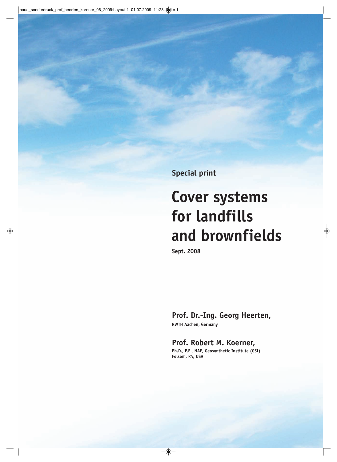**Special print**

# **Cover systems for landfills and brownfields**

**Sept. 2008**

# **Prof. Dr.-Ing. Georg Heerten,**

**RWTH Aachen, Germany**

# **Prof. Robert M. Koerner, Ph.D., P.E., NAE, Geosynthetic Institute (GSI),**

**Folsom, PA, USA**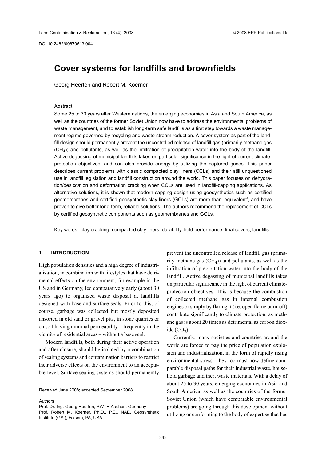DOI 10.2462/09670513.904

# <span id="page-1-0"></span>**Cover systems for landfills and brownfields**

Georg Heerten and Robert M. Koerner

#### Abstract

Some 25 to 30 years after Western nations, the emerging economies in Asia and South America, as well as the countries of the former Soviet Union now have to address the environmental problems of waste management, and to establish long-term safe landfills as a first step towards a waste management regime governed by recycling and waste-stream reduction. A cover system as part of the landfill design should permanently prevent the uncontrolled release of landfill gas (primarily methane gas  $(CH<sub>4</sub>)$ ) and pollutants, as well as the infiltration of precipitation water into the body of the landfill. Active degassing of municipal landfills takes on particular significance in the light of current climateprotection objectives, and can also provide energy by utilizing the captured gases. This paper describes current problems with classic compacted clay liners (CCLs) and their still unquestioned use in landfill legislation and landfill construction around the world. This paper focuses on dehydration/desiccation and deformation cracking when CCLs are used in landfill-capping applications. As alternative solutions, it is shown that modern capping design using geosynthetics such as certified geomembranes and certified geosynthetic clay liners (GCLs) are more than 'equivalent', and have proven to give better long-term, reliable solutions. The authors recommend the replacement of CCLs by certified geosynthetic components such as geomembranes and GCLs.

Key words: clay cracking, compacted clay liners, durability, field performance, final covers, landfills

#### **1. INTRODUCTION**

High population densities and a high degree of industrialization, in combination with lifestyles that have detrimental effects on the environment, for example in the US and in Germany, led comparatively early (about 30 years ago) to organized waste disposal at landfills designed with base and surface seals. Prior to this, of course, garbage was collected but mostly deposited unsorted in old sand or gravel pits, in stone quarries or on soil having minimal permeability – frequently in the vicinity of residential areas – without a base seal.

Modern landfills, both during their active operation and after closure, should be isolated by a combination of sealing systems and contamination barriers to restrict their adverse effects on the environment to an acceptable level. Surface sealing systems should permanently

Received June 2008; accepted September 2008

Authors

prevent the uncontrolled release of landfill gas (primarily methane gas  $(CH<sub>4</sub>)$  and pollutants, as well as the infiltration of precipitation water into the body of the landfill. Active degassing of municipal landfills takes on particular significance in the light of current climateprotection objectives. This is because the combustion of collected methane gas in internal combustion engines or simply by flaring it (i.e. open flame burn-off) contribute significantly to climate protection, as methane gas is about 20 times as detrimental as carbon dioxide  $(CO<sub>2</sub>)$ .

Currently, many societies and countries around the world are forced to pay the price of population explosion and industrialization, in the form of rapidly rising environmental stress. They too must now define comparable disposal paths for their industrial waste, household garbage and inert waste materials. With a delay of about 25 to 30 years, emerging economies in Asia and South America, as well as the countries of the former Soviet Union (which have comparable environmental problems) are going through this development without utilizing or conforming to the body of expertise that has

Prof. Dr.-Ing. Georg Heerten, RWTH Aachen, Germany Prof. Robert M. Koerner, Ph.D., P.E., NAE, Geosynthetic Institute (GSI), Folsom, PA, USA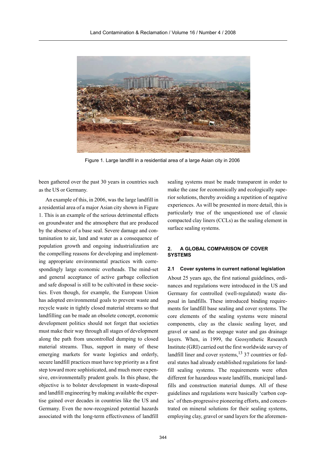

Figure 1. Large landfill in a residential area of a large Asian city in 2006

been gathered over the past 30 years in countries such as the US or Germany.

An example of this, in 2006, was the large landfill in a residential area of a major Asian city shown in Figure 1. This is an example of the serious detrimental effects on groundwater and the atmosphere that are produced by the absence of a base seal. Severe damage and contamination to air, land and water as a consequence of population growth and ongoing industrialization are the compelling reasons for developing and implementing appropriate environmental practices with correspondingly large economic overheads. The mind-set and general acceptance of active garbage collection and safe disposal is still to be cultivated in these societies. Even though, for example, the European Union has adopted environmental goals to prevent waste and recycle waste in tightly closed material streams so that landfilling can be made an obsolete concept, economic development politics should not forget that societies must make their way through all stages of development along the path from uncontrolled dumping to closed material streams. Thus, support in many of these emerging markets for waste logistics and orderly, secure landfill practices must have top priority as a first step toward more sophisticated, and much more expensive, environmentally prudent goals. In this phase, the objective is to bolster development in waste-disposal and landfill engineering by making available the expertise gained over decades in countries like the US and Germany. Even the now-recognized potential hazards associated with the long-term effectiveness of landfill

sealing systems must be made transparent in order to make the case for economically and ecologically superior solutions, thereby avoiding a repetition of negative experiences. As will be presented in more detail, this is particularly true of the unquestioned use of classic compacted clay liners (CCLs) as the sealing element in surface sealing systems.

## **2. A GLOBAL COMPARISON OF COVER SYSTEMS**

#### **2.1 Cover systems in current national legislation**

About 25 years ago, the first national guidelines, ordinances and regulations were introduced in the US and Germany for controlled (well-regulated) waste disposal in landfills. These introduced binding requirements for landfill base sealing and cover systems. The core elements of the sealing systems were mineral components, clay as the classic sealing layer, and gravel or sand as the seepage water and gas drainage layers. When, in 1999, the Geosynthetic Research Institute (GRI) carried out the first worldwide survey of landfill liner and cover systems,<sup>13</sup> 37 countries or federal states had already established regulations for landfill sealing systems. The requirements were often different for hazardous waste landfills, municipal landfills and construction material dumps. All of these guidelines and regulations were basically 'carbon copies' of then-progressive pioneering efforts, and concentrated on mineral solutions for their sealing systems, employing clay, gravel or sand layers for the aforemen-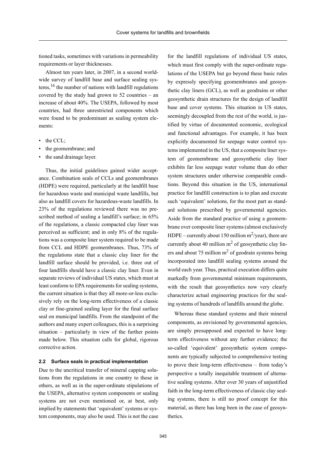tioned tasks, sometimes with variations in permeability requirements or layer thicknesses.

Almost ten years later, in 2007, in a second worldwide survey of landfill base and surface sealing systems,  $16$  the number of nations with landfill regulations covered by the study had grown to 52 countries – an increase of about 40%. The USEPA, followed by most countries, had three unrestricted components which were found to be predominant as sealing system elements:

- the CCL;
- the geomembrane; and
- the sand drainage layer.

Thus, the initial guidelines gained wider acceptance. Combination seals of CCLs and geomembranes (HDPE) were required, particularly at the landfill base for hazardous waste and municipal waste landfills, but also as landfill covers for hazardous-waste landfills. In 23% of the regulations reviewed there was no prescribed method of sealing a landfill's surface; in 65% of the regulations, a classic compacted clay liner was perceived as sufficient; and in only 8% of the regulations was a composite liner system required to be made from CCL and HDPE geomembranes. Thus, 73% of the regulations state that a classic clay liner for the landfill surface should be provided, i.e. three out of four landfills should have a classic clay liner. Even in separate reviews of individual US states, which must at least conform to EPA requirements for sealing systems, the current situation is that they all more-or-less exclusively rely on the long-term effectiveness of a classic clay or fine-grained sealing layer for the final surface seal on municipal landfills. From the standpoint of the authors and many expert colleagues, this is a surprising situation – particularly in view of the further points made below. This situation calls for global, rigorous corrective action.

#### **2.2 Surface seals in practical implementation**

Due to the uncritical transfer of mineral capping solutions from the regulations in one country to those in others, as well as in the super-ordinate stipulations of the USEPA, alternative system components or sealing systems are not even mentioned or, at best, only implied by statements that 'equivalent' systems or system components, may also be used. This is not the case

for the landfill regulations of individual US states, which must first comply with the super-ordinate regulations of the USEPA but go beyond these basic rules by expressly specifying geomembranes and geosynthetic clay liners (GCL), as well as geodrains or other geosynthetic drain structures for the design of landfill base and cover systems. This situation in US states, seemingly decoupled from the rest of the world, is justified by virtue of documented economic, ecological and functional advantages. For example, it has been explicitly documented for seepage water control systems implemented in the US, that a composite liner system of geomembrane and geosynthetic clay liner exhibits far less seepage water volume than do other system structures under otherwise comparable conditions. Beyond this situation in the US, international practice for landfill construction is to plan and execute such 'equivalent' solutions, for the most part as standard solutions prescribed by governmental agencies. Aside from the standard practice of using a geomembrane over composite liner systems (almost exclusively HDPE – currently about 150 million  $m^2$ /year), there are currently about 40 million  $m^2$  of geosynthetic clay liners and about 75 million  $m<sup>2</sup>$  of geodrain systems being incorporated into landfill sealing systems around the world each year. Thus, practical execution differs quite markedly from governmental minimum requirements, with the result that geosynthetics now very clearly characterize actual engineering practices for the sealing systems of hundreds of landfills around the globe.

Whereas these standard systems and their mineral components, as envisioned by governmental agencies, are simply presupposed and expected to have longterm effectiveness without any further evidence; the so-called 'equivalent' geosynthetic system components are typically subjected to comprehensive testing to prove their long-term effectiveness – from today's perspective a totally inequitable treatment of alternative sealing systems. After over 30 years of unjustified faith in the long-term effectiveness of classic clay sealing systems, there is still no proof concept for this material, as there has long been in the case of geosynthetics.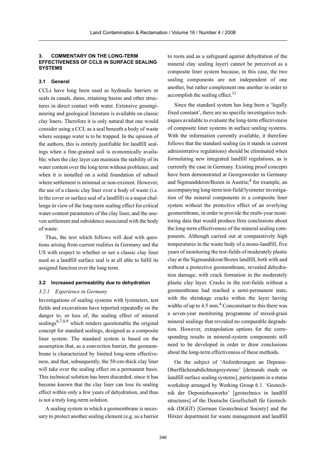#### **3. COMMENTARY ON THE LONG-TERM EFFECTIVENESS OF CCLS IN SURFACE SEALING SYSTEMS**

#### **3.1 General**

CCLs have long been used as hydraulic barriers or seals in canals, dams, retaining basins and other structures in direct contact with water. Extensive geoengineering and geological literature is available on classic clay liners. Therefore it is only natural that one would consider using a CCL as a seal beneath a body of waste where seepage water is to be trapped. In the opinion of the authors, this is entirely justifiable for landfill sealings when a fine-grained soil is economically available; when the clay layer can maintain the stability of its water content over the long term without problems; and when it is installed on a solid foundation of subsoil where settlement is minimal or non-existent. However, the use of a classic clay liner over a body of waste (i.e. in the cover or surface seal of a landfill) is a major challenge in view of the long-term sealing effect for critical water-content parameters of the clay liner, and the uneven settlement and subsidence associated with the body of waste.

Thus, the text which follows will deal with questions arising from current realities in Germany and the US with respect to whether or not a classic clay liner used as a landfill surface seal is at all able to fulfil its assigned function over the long term.

#### **3.2 Increased permeability due to dehydration**

#### *3.2.1 Experience in Germany*

Investigations of sealing systems with lysimeters, test fields and excavations have reported repeatedly on the danger to, or loss of, the sealing effect of mineral sealings<sup>6,7,8,9</sup> which renders questionable the original concept for standard sealings, designed as a composite liner system. The standard system is based on the assumption that, as a convection barrier, the geomembrane is characterized by limited long-term effectiveness, and that, subsequently, the 50-cm-thick clay liner will take over the sealing effect on a permanent basis. This technical solution has been discarded, since it has become known that the clay liner can lose its sealing effect within only a few years of dehydration, and thus is not a truly long-term solution.

A sealing system in which a geomembrane is necessary to protect another sealing element (e.g. as a barrier to roots and as a safeguard against dehydration of the mineral clay sealing layer) cannot be perceived as a composite liner system because, in this case, the two sealing components are not independent of one another, but rather complement one another in order to accomplish the sealing effect.<sup>11</sup>

Since the standard system has long been a 'legally fixed constant', there are no specific investigative techniques available to evaluate the long-term effectiveness of composite liner systems in surface sealing systems. With the information currently available, it therefore follows that the standard sealing (as it stands in current administrative regulations) should be eliminated when formulating new integrated landfill regulations, as is currently the case in Germany. Existing proof concepts have been demonstrated at Georgswerder in Germany and Sigmundskron/Bozen in Austria;<sup>4</sup> for example, an accompanying long-term test-field/lysimeter investigation of the mineral components in a composite liner system without the protective effect of an overlying geomembrane, in order to provide the multi-year monitoring data that would produce firm conclusions about the long-term effectiveness of the mineral sealing components. Although carried out at comparatively high temperatures in the waste body of a mono-landfill, five years of monitoring the test-fields of moderately plastic clay at the Sigmundskron/Bozen landfill, both with and without a protective geomembrane, revealed dehydration damage, with crack formation in the moderately plastic clay layer. Cracks in the test-fields without a geomembrane had reached a semi-permanent state, with the shrinkage cracks within the layer having widths of up to  $4.5$  mm.<sup>4</sup> Concomitant to this there was a seven-year monitoring programme of mixed-grain mineral sealings that revealed no comparable degradation. However, extrapolation options for the corresponding results in mineral-system components still need to be developed in order to draw conclusions about the long-term effectiveness of these methods.

On the subject of 'Anforderungen an Deponie-Oberflächenabdichtungssysteme' [demands made on landfill surface sealing systems], participants in a status workshop arranged by Working Group 6.1. 'Geotechnik der Deponiebauwerke' [geotechnics in landfill structures] of the Deutsche Gesellschaft für Geotechnik (DGGT) [German Geotechnical Society] and the Höxter department for waste management and landfill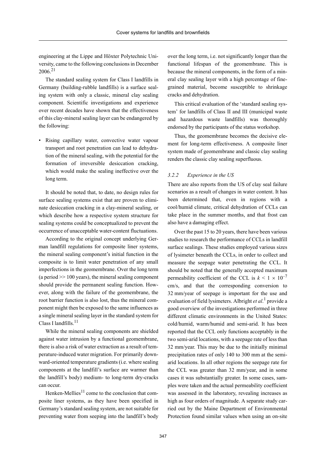engineering at the Lippe and Höxter Polytechnic University, came to the following conclusions in December 2006<sup>21</sup>

The standard sealing system for Class I landfills in Germany (building-rubble landfills) is a surface sealing system with only a classic, mineral clay sealing component. Scientific investigations and experience over recent decades have shown that the effectiveness of this clay-mineral sealing layer can be endangered by the following:

• Rising capillary water, convective water vapour transport and root penetration can lead to dehydration of the mineral sealing, with the potential for the formation of irreversible desiccation cracking, which would make the sealing ineffective over the long term.

It should be noted that, to date, no design rules for surface sealing systems exist that are proven to eliminate desiccation cracking in a clay-mineral sealing, or which describe how a respective system structure for sealing systems could be conceptualized to prevent the occurrence of unacceptable water-content fluctuations.

According to the original concept underlying German landfill regulations for composite liner systems, the mineral sealing component's initial function in the composite is to limit water penetration of any small imperfections in the geomembrane. Over the long term (a period  $\geq$  100 years), the mineral sealing component should provide the permanent sealing function. However, along with the failure of the geomembrane, the root barrier function is also lost, thus the mineral component might then be exposed to the same influences as a single mineral sealing layer in the standard system for Class I landfills.<sup>11</sup>

While the mineral sealing components are shielded against water intrusion by a functional geomembrane, there is also a risk of water extraction as a result of temperature-induced water migration. For primarily downward-oriented temperature gradients (i.e. where sealing components at the landfill's surface are warmer than the landfill's body) medium- to long-term dry-cracks can occur.

Henken-Mellies $^{11}$  come to the conclusion that composite liner systems, as they have been specified in Germany's standard sealing system, are not suitable for preventing water from seeping into the landfill's body over the long term, i.e. not significantly longer than the functional lifespan of the geomembrane. This is because the mineral components, in the form of a mineral clay sealing layer with a high percentage of finegrained material, become susceptible to shrinkage cracks and dehydration.

This critical evaluation of the 'standard sealing system' for landfills of Class II and III (municipal waste and hazardous waste landfills) was thoroughly endorsed by the participants of the status workshop.

Thus, the geomembrane becomes the decisive element for long-term effectiveness. A composite liner system made of geomembrane and classic clay sealing renders the classic clay sealing superfluous.

#### *3.2.2 Experience in the US*

There are also reports from the US of clay seal failure scenarios as a result of changes in water content. It has been determined that, even in regions with a cool/humid climate, critical dehydration of CCLs can take place in the summer months, and that frost can also have a damaging effect.

Over the past 15 to 20 years, there have been various studies to research the performance of CCLs in landfill surface sealings. These studies employed various sizes of lysimeter beneath the CCLs, in order to collect and measure the seepage water penetrating the CCL. It should be noted that the generally accepted maximum permeability coefficient of the CCL is  $k < 1 \times 10^{-7}$ cm/s, and that the corresponding conversion to 32 mm/year of seepage is important for the use and evaluation of field lysimeters. Albright *et al*. 1 provide a good overview of the investigations performed in three different climatic environments in the United States: cold/humid, warm/humid and semi-arid. It has been reported that the CCL only functions acceptably in the two semi-arid locations, with a seepage rate of less than 32 mm/year. This may be due to the initially minimal precipitation rates of only 140 to 300 mm at the semiarid locations. In all other regions the seepage rate for the CCL was greater than 32 mm/year, and in some cases it was substantially greater. In some cases, samples were taken and the actual permeability coefficient was assessed in the laboratory, revealing increases as high as four orders of magnitude. A separate study carried out by the Maine Department of Environmental Protection found similar values when using an on-site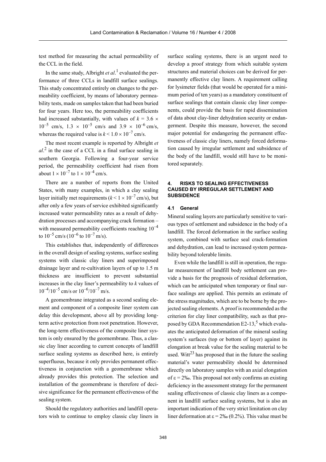test method for measuring the actual permeability of the CCL in the field.

In the same study, Albright *et al*.<sup>1</sup> evaluated the performance of three CCLs in landfill surface sealings. This study concentrated entirely on changes to the permeability coefficient, by means of laboratory permeability tests, made on samples taken that had been buried for four years. Here too, the permeability coefficients had increased substantially, with values of  $k = 3.6 \times$  $10^{-5}$  cm/s,  $1.3 \times 10^{-5}$  cm/s and  $3.9 \times 10^{-6}$  cm/s, whereas the required value is  $k < 1.0 \times 10^{-7}$  cm/s.

The most recent example is reported by Albright *et al*. 2 in the case of a CCL in a final surface sealing in southern Georgia. Following a four-year service period, the permeability coefficient had risen from about  $1 \times 10^{-7}$  to  $1 \times 10^{-4}$  cm/s.

There are a number of reports from the United States, with many examples, in which a clay sealing layer initially met requirements  $(k < 1 \times 10^{-7}$  cm/s), but after only a few years of service exhibited significantly increased water permeability rates as a result of dehydration processes and accompanying crack formation – with measured permeability coefficients reaching  $10^{-4}$ to  $10^{-5}$  cm/s  $(10^{-6}$  to  $10^{-7}$  m/s).

This establishes that, independently of differences in the overall design of sealing systems, surface sealing systems with classic clay liners and superimposed drainage layer and re-cultivation layers of up to 1.5 m thickness are insufficient to prevent substantial increases in the clay liner's permeability to *k* values of  $10^{-4}/10^{-5}$  cm/s or  $10^{-6}/10^{-7}$  m/s.

A geomembrane integrated as a second sealing element and component of a composite liner system can delay this development, above all by providing longterm active protection from root penetration. However, the long-term effectiveness of the composite liner system is only ensured by the geomembrane. Thus, a classic clay liner according to current concepts of landfill surface sealing systems as described here, is entirely superfluous, because it only provides permanent effectiveness in conjunction with a geomembrane which already provides this protection. The selection and installation of the geomembrane is therefore of decisive significance for the permanent effectiveness of the sealing system.

Should the regulatory authorities and landfill operators wish to continue to employ classic clay liners in surface sealing systems, there is an urgent need to develop a proof strategy from which suitable system structures and material choices can be derived for permanently effective clay liners. A requirement calling for lysimeter fields (that would be operated for a minimum period of ten years) as a mandatory constituent of surface sealings that contain classic clay liner components, could provide the basis for rapid dissemination of data about clay-liner dehydration security or endangerment. Despite this measure, however, the second major potential for endangering the permanent effectiveness of classic clay liners, namely forced deformation caused by irregular settlement and subsidence of the body of the landfill, would still have to be monitored separately.

#### **4. RISKS TO SEALING EFFECTIVENESS CAUSED BY IRREGULAR SETTLEMENT AND SUBSIDENCE**

#### **4.1 General**

Mineral sealing layers are particularly sensitive to various types of settlement and subsidence in the body of a landfill. The forced deformation in the surface sealing system, combined with surface seal crack-formation and dehydration, can lead to increased system permeability beyond tolerable limits.

Even while the landfill is still in operation, the regular measurement of landfill body settlement can provide a basis for the prognosis of residual deformation, which can be anticipated when temporary or final surface sealings are applied. This permits an estimate of the stress magnitudes, which are to be borne by the projected sealing elements. A proof is recommended as the criterion for clay liner compatibility, such as that proposed by GDA Recommendation E2-13,<sup>5</sup> which evaluates the anticipated deformation of the mineral sealing system's surfaces (top or bottom of layer) against its elongation at break value for the sealing material to be used. Witt<sup>23</sup> has proposed that in the future the sealing material's water permeability should be determined directly on laboratory samples with an axial elongation of  $\varepsilon$  = 2‰. This proposal not only confirms an existing deficiency in the assessment strategy for the permanent sealing effectiveness of classic clay liners as a component in landfill surface sealing systems, but is also an important indication of the very strict limitation on clay liner deformation at  $\varepsilon = 2\% (0.2\%)$ . This value must be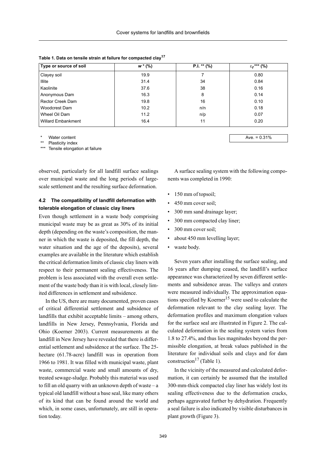| Type or source of soil | $w * (\%)$ | $P.I. ** (%)$ | $\varepsilon_f$ *** (%) |
|------------------------|------------|---------------|-------------------------|
| Clayey soil            | 19.9       |               | 0.80                    |
| Illite                 | 31.4       | 34            | 0.84                    |
| Kaolinite              | 37.6       | 38            | 0.16                    |
| Anonymous Dam          | 16.3       | 8             | 0.14                    |
| Rector Creek Dam       | 19.8       | 16            | 0.10                    |
| Woodcrest Dam          | 10.2       | n/n           | 0.18                    |
| Wheel Oil Dam          | 11.2       | n/p           | 0.07                    |
| Willard Embankment     | 16.4       | 11            | 0.20                    |
|                        |            |               |                         |

#### **Table 1. Data on tensile strain at failure for compacted clay17**

Water content

\*\* Plasticity index

Tensile elongation at failure

observed, particularly for all landfill surface sealings over municipal waste and the long periods of largescale settlement and the resulting surface deformation.

# **4.2 The compatibility of landfill deformation with tolerable elongation of classic clay liners**

Even though settlement in a waste body comprising municipal waste may be as great as 30% of its initial depth (depending on the waste's composition, the manner in which the waste is deposited, the fill depth, the water situation and the age of the deposits), several examples are available in the literature which establish the critical deformation limits of classic clay liners with respect to their permanent sealing effectiveness. The problem is less associated with the overall even settlement of the waste body than it is with local, closely limited differences in settlement and subsidence.

In the US, there are many documented, proven cases of critical differential settlement and subsidence of landfills that exhibit acceptable limits – among others, landfills in New Jersey, Pennsylvania, Florida and Ohio (Koerner 2003). Current measurements at the landfill in New Jersey have revealed that there is differential settlement and subsidence at the surface. The 25 hectare (61.78-acre) landfill was in operation from 1966 to 1981. It was filled with municipal waste, plant waste, commercial waste and small amounts of dry, treated sewage-sludge. Probably this material was used to fill an old quarry with an unknown depth of waste – a typical old landfill without a base seal, like many others of its kind that can be found around the world and which, in some cases, unfortunately, are still in operation today.

Ave.  $= 0.31%$ 

A surface sealing system with the following components was completed in 1990:

- 150 mm of topsoil:
- 450 mm cover soil;
- 300 mm sand drainage layer;
- 300 mm compacted clay liner;
- 300 mm cover soil;
- about 450 mm levelling layer;
- waste body.

Seven years after installing the surface sealing, and 16 years after dumping ceased, the landfill's surface appearance was characterized by seven different settlements and subsidence areas. The valleys and craters were measured individually. The approximation equations specified by Koerner<sup>15</sup> were used to calculate the deformation relevant to the clay sealing layer. The deformation profiles and maximum elongation values for the surface seal are illustrated in Figure 2. The calculated deformation in the sealing system varies from 1.8 to 27.4%, and thus lies magnitudes beyond the permissible elongation, at break values published in the literature for individual soils and clays and for dam construction<sup>17</sup> (Table 1).

In the vicinity of the measured and calculated deformation, it can certainly be assumed that the installed 300-mm-thick compacted clay liner has widely lost its sealing effectiveness due to the deformation cracks, perhaps aggravated further by dehydration. Frequently a seal failure is also indicated by visible disturbances in plant growth (Figure 3).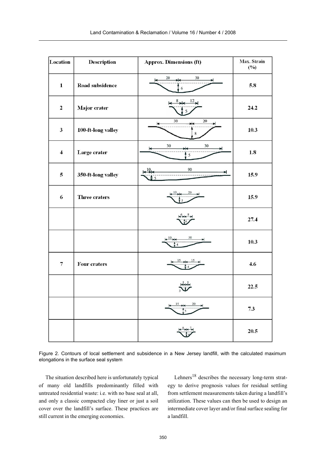| Location                | <b>Description</b> | <b>Approx. Dimensions (ft)</b>                | Max. Strain<br>$(^{0}/_{0})$ |
|-------------------------|--------------------|-----------------------------------------------|------------------------------|
| $\mathbf{1}$            | Road subsidence    | 20<br>30<br>丼<br>6                            | 5.8                          |
| $\mathbf 2$             | Major crater       | $12_{-}$                                      | 24.2                         |
| $\mathbf{3}$            | 100-ft-long valley | 20<br>30<br>8                                 | 10.3                         |
| $\overline{\mathbf{4}}$ | Large crater       | 30<br>30<br>5                                 | 1.8                          |
| 5                       | 350-ft-long valley | 90<br>10 <sub>L</sub><br>⋗<br>$\frac{1}{2}$ 5 | 15.9                         |
| 6                       | Three craters      | 10<br>20                                      | 15.9                         |
|                         |                    |                                               | 27.4                         |
|                         |                    | 30<br>10                                      | 10.3                         |
| $\overline{\mathbf{7}}$ | Four craters       |                                               | 4.6                          |
|                         |                    |                                               | 22.5                         |
|                         |                    |                                               | 7.3                          |
|                         |                    |                                               | 20.5                         |

Figure 2. Contours of local settlement and subsidence in a New Jersey landfill, with the calculated maximum elongations in the surface seal system

The situation described here is unfortunately typical of many old landfills predominantly filled with untreated residential waste: i.e. with no base seal at all, and only a classic compacted clay liner or just a soil cover over the landfill's surface. These practices are still current in the emerging economies.

Lehners<sup>18</sup> describes the necessary long-term strategy to derive prognosis values for residual settling from settlement measurements taken during a landfill's utilization. These values can then be used to design an intermediate cover layer and/or final surface sealing for a landfill.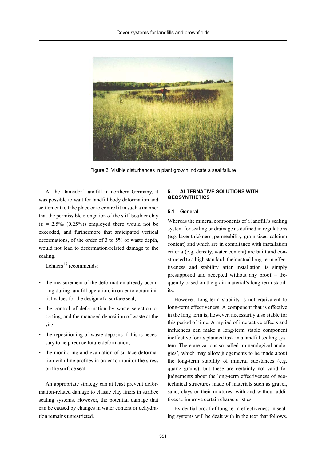

Figure 3. Visible disturbances in plant growth indicate a seal failure

At the Damsdorf landfill in northern Germany, it was possible to wait for landfill body deformation and settlement to take place or to control it in such a manner that the permissible elongation of the stiff boulder clay  $(\epsilon = 2.5\% \, (0.25\%))$  employed there would not be exceeded, and furthermore that anticipated vertical deformations, of the order of 3 to 5% of waste depth, would not lead to deformation-related damage to the sealing.

Lehners<sup>18</sup> recommends:

- the measurement of the deformation already occurring during landfill operation, in order to obtain initial values for the design of a surface seal;
- the control of deformation by waste selection or sorting, and the managed deposition of waste at the site;
- the repositioning of waste deposits if this is necessary to help reduce future deformation;
- the monitoring and evaluation of surface deformation with line profiles in order to monitor the stress on the surface seal.

An appropriate strategy can at least prevent deformation-related damage to classic clay liners in surface sealing systems. However, the potential damage that can be caused by changes in water content or dehydration remains unrestricted.

## **5. ALTERNATIVE SOLUTIONS WITH GEOSYNTHETICS**

#### **5.1 General**

Whereas the mineral components of a landfill's sealing system for sealing or drainage as defined in regulations (e.g. layer thickness, permeability, grain sizes, calcium content) and which are in compliance with installation criteria (e.g. density, water content) are built and constructed to a high standard, their actual long-term effectiveness and stability after installation is simply presupposed and accepted without any proof – frequently based on the grain material's long-term stability.

However, long-term stability is not equivalent to long-term effectiveness. A component that is effective in the long term is, however, necessarily also stable for this period of time. A myriad of interactive effects and influences can make a long-term stable component ineffective for its planned task in a landfill sealing system. There are various so-called 'mineralogical analogies', which may allow judgements to be made about the long-term stability of mineral substances (e.g. quartz grains), but these are certainly not valid for judgements about the long-term effectiveness of geotechnical structures made of materials such as gravel, sand, clays or their mixtures, with and without additives to improve certain characteristics.

Evidential proof of long-term effectiveness in sealing systems will be dealt with in the text that follows.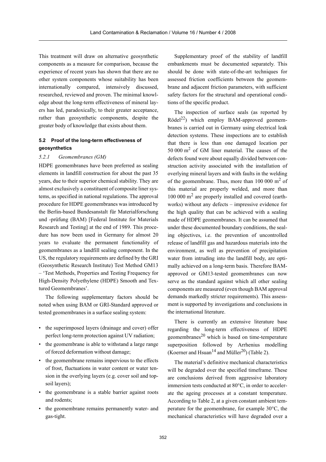This treatment will draw on alternative geosynthetic components as a measure for comparison, because the experience of recent years has shown that there are no other system components whose suitability has been internationally compared, intensively discussed, researched, reviewed and proven. The minimal knowledge about the long-term effectiveness of mineral layers has led, paradoxically, to their greater acceptance, rather than geosynthetic components, despite the greater body of knowledge that exists about them.

## **5.2 Proof of the long-term effectiveness of geosynthetics**

#### *5.2.1 Geomembranes (GM)*

HDPE geomembranes have been preferred as sealing elements in landfill construction for about the past 35 years, due to their superior chemical stability. They are almost exclusively a constituent of composite liner systems, as specified in national regulations. The approval procedure for HDPE geomembranes was introduced by the Berlin-based Bundesanstalt für Materialforschung und -prüfung (BAM) [Federal Institute for Materials Research and Testing] at the end of 1989. This procedure has now been used in Germany for almost 20 years to evaluate the permanent functionality of geomembranes as a landfill sealing component. In the US, the regulatory requirements are defined by the GRI (Geosynthetic Research Institute) Test Method GM13 – 'Test Methods, Properties and Testing Frequency for High-Density Polyethylene (HDPE) Smooth and Textured Geomembranes'.

The following supplementary factors should be noted when using BAM or GRI-Standard approved or tested geomembranes in a surface sealing system:

- the superimposed layers (drainage and cover) offer perfect long-term protection against UV radiation;
- the geomembrane is able to withstand a large range of forced deformation without damage;
- the geomembrane remains impervious to the effects of frost, fluctuations in water content or water tension in the overlying layers (e.g. cover soil and topsoil layers);
- the geomembrane is a stable barrier against roots and rodents;
- the geomembrane remains permanently water- and gas-tight.

Supplementary proof of the stability of landfill embankments must be documented separately. This should be done with state-of-the-art techniques for assessed friction coefficients between the geomembrane and adjacent friction parameters, with sufficient safety factors for the structural and operational conditions of the specific product.

The inspection of surface seals (as reported by  $Rödel<sup>22</sup>$  which employ BAM-approved geomembranes is carried out in Germany using electrical leak detection systems. These inspections are to establish that there is less than one damaged location per 50 000 m<sup>2</sup> of GM liner material. The causes of the defects found were about equally divided between construction activity associated with the installation of overlying mineral layers and with faults in the welding of the geomembrane. Thus, more than  $100\ 000\ \text{m}^2$  of this material are properly welded, and more than 100 000 m2 are properly installed and covered (earthworks) without any defects – impressive evidence for the high quality that can be achieved with a sealing made of HDPE geomembranes. It can be assumed that under these documented boundary conditions, the sealing objectives, i.e. the prevention of uncontrolled release of landfill gas and hazardous materials into the environment, as well as prevention of precipitation water from intruding into the landfill body, are optimally achieved on a long-term basis. Therefore BAMapproved or GM13-tested geomembranes can now serve as the standard against which all other sealing components are measured (even though BAM approval demands markedly stricter requirements). This assessment is supported by investigations and conclusions in the international literature.

There is currently an extensive literature base regarding the long-term effectiveness of HDPE geomembranes<sup>20</sup> which is based on time-temperature superposition followed by Arrhenius modelling (Koerner and Hsuan<sup>14</sup> and Müller<sup>20</sup>) (Table 2).

The material's definitive mechanical characteristics will be degraded over the specified timeframe. These are conclusions derived from aggressive laboratory immersion tests conducted at 80°C, in order to accelerate the ageing processes at a constant temperature. According to Table 2, at a given constant ambient temperature for the geomembrane, for example 30°C, the mechanical characteristics will have degraded over a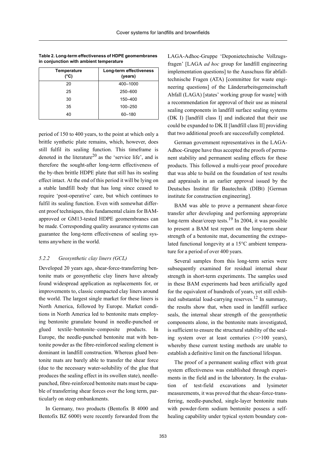| Temperature<br>(°C) | Long-term effectiveness<br>(years) |
|---------------------|------------------------------------|
| 20                  | 400-1000                           |
| 25                  | 250-600                            |
| 30                  | 150-400                            |
| 35                  | 100-250                            |
| 40                  | 60-180                             |

**Table 2. Long-term effectiveness of HDPE geomembranes in conjunction with ambient temperature**

period of 150 to 400 years, to the point at which only a brittle synthetic plate remains, which, however, does still fulfil its sealing function. This timeframe is denoted in the literature<sup>20</sup> as the 'service life', and is therefore the sought-after long-term effectiveness of the by-then brittle HDPE plate that still has its sealing effect intact. At the end of this period it will be lying on a stable landfill body that has long since ceased to require 'post-operative' care, but which continues to fulfil its sealing function. Even with somewhat different proof techniques, this fundamental claim for BAMapproved or GM13-tested HDPE geomembranes can be made. Corresponding quality assurance systems can guarantee the long-term effectiveness of sealing systems anywhere in the world.

#### *5.2.2 Geosynthetic clay liners (GCL)*

Developed 20 years ago, shear-force-transferring bentonite mats or geosynthetic clay liners have already found widespread application as replacements for, or improvements to, classic compacted clay liners around the world. The largest single market for these liners is North America, followed by Europe. Market conditions in North America led to bentonite mats employing bentonite granulate bound in needle-punched or glued textile–bentonite–composite products. In Europe, the needle-punched bentonite mat with bentonite powder as the fibre-reinforced sealing element is dominant in landfill construction. Whereas glued bentonite mats are barely able to transfer the shear force (due to the necessary water-solubility of the glue that produces the sealing effect in its swollen state), needlepunched, fibre-reinforced bentonite mats must be capable of transferring shear forces over the long term, particularly on steep embankments.

In Germany, two products (Bentofix B 4000 and Bentofix BZ 6000) were recently forwarded from the LAGA-Adhoc-Gruppe 'Deponietechnische Vollzugsfragen' [LAGA *ad hoc* group for landfill engineering implementation questions] to the Ausschuss für abfalltechnische Fragen (ATA) [committee for waste engineering questions] of the Länderarbeitsgemeinschaft Abfall (LAGA) [states' working group for waste] with a recommendation for approval of their use as mineral sealing components in landfill surface sealing systems (DK I) [landfill class I] and indicated that their use could be expanded to DK II [landfill class II] providing that two additional proofs are successfully completed.

German government representatives in the LAGA-Adhoc-Gruppe have thus accepted the proofs of permanent stability and permanent sealing effects for these products. This followed a multi-year proof procedure that was able to build on the foundation of test results and appraisals in an earlier approval issued by the Deutsches Institut für Bautechnik (DIBt) [German institute for construction engineering].

BAM was able to prove a permanent shear-force transfer after developing and performing appropriate long-term shear/creep tests.<sup>19</sup> In 2004, it was possible to present a BAM test report on the long-term shear strength of a bentonite mat, documenting the extrapolated functional longevity at a 15°C ambient temperature for a period of over 400 years.

Several samples from this long-term series were subsequently examined for residual internal shear strength in short-term experiments. The samples used in these BAM experiments had been artificially aged for the equivalent of hundreds of years, yet still exhibited substantial load-carrying reserves.<sup>12</sup> In summary, the results show that, when used in landfill surface seals, the internal shear strength of the geosynthetic components alone, in the bentonite mats investigated, is sufficient to ensure the structural stability of the sealing system over at least centuries (>>100 years), whereby these current testing methods are unable to establish a definitive limit on the functional lifespan.

The proof of a permanent sealing effect with great system effectiveness was established through experiments in the field and in the laboratory. In the evaluation of test-field excavations and lysimeter measurements, it was proved that the shear-force-transferring, needle-punched, single-layer bentonite mats with powder-form sodium bentonite possess a selfhealing capability under typical system boundary con-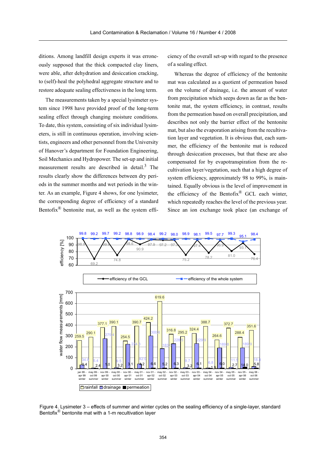ditions. Among landfill design experts it was erroneously supposed that the thick compacted clay liners, were able, after dehydration and desiccation cracking, to (self)-heal the polyhedral aggregate structure and to restore adequate sealing effectiveness in the long term.

The measurements taken by a special lysimeter system since 1998 have provided proof of the long-term sealing effect through changing moisture conditions. To date, this system, consisting of six individual lysimeters, is still in continuous operation, involving scientists, engineers and other personnel from the University of Hanover's department for Foundation Engineering, Soil Mechanics and Hydropower. The set-up and initial measurement results are described in detail.3 The results clearly show the differences between dry periods in the summer months and wet periods in the winter. As an example, Figure 4 shows, for one lysimeter, the corresponding degree of efficiency of a standard Bentofix $^{\circledR}$  bentonite mat, as well as the system efficiency of the overall set-up with regard to the presence of a sealing effect.

Whereas the degree of efficiency of the bentonite mat was calculated as a quotient of permeation based on the volume of drainage, i.e. the amount of water from precipitation which seeps down as far as the bentonite mat, the system efficiency, in contrast, results from the permeation based on overall precipitation, and describes not only the barrier effect of the bentonite mat, but also the evaporation arising from the recultivation layer and vegetation. It is obvious that, each summer, the efficiency of the bentonite mat is reduced through desiccation processes, but that these are also compensated for by evapotranspiration from the recultivation layer/vegetation, such that a high degree of system efficiency, approximately 98 to 99%, is maintained. Equally obvious is the level of improvement in the efficiency of the Bentofix® GCL each winter, which repeatedly reaches the level of the previous year. Since an ion exchange took place (an exchange of



Figure 4. Lysimeter 3 – effects of summer and winter cycles on the sealing efficiency of a single-layer, standard Bentofix $^{\circledR}$  bentonite mat with a 1-m recultivation layer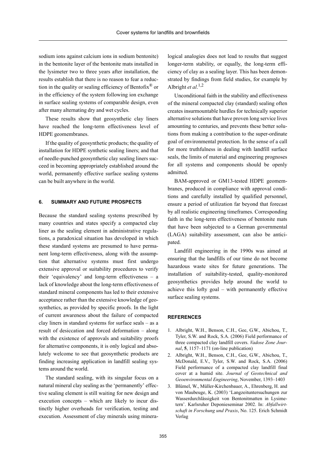sodium ions against calcium ions in sodium bentonite) in the bentonite layer of the bentonite mats installed in the lysimeter two to three years after installation, the results establish that there is no reason to fear a reduction in the quality or sealing efficiency of Bentofix<sup>®</sup> or in the efficiency of the system following ion exchange in surface sealing systems of comparable design, even after many alternating dry and wet cycles.

These results show that geosynthetic clay liners have reached the long-term effectiveness level of HDPE geomembranes.

If the quality of geosynthetic products; the quality of installation for HDPE synthetic sealing liners; and that of needle-punched geosynthetic clay sealing liners succeed in becoming appropriately established around the world, permanently effective surface sealing systems can be built anywhere in the world.

### **6. SUMMARY AND FUTURE PROSPECTS**

Because the standard sealing systems prescribed by many countries and states specify a compacted clay liner as the sealing element in administrative regulations, a paradoxical situation has developed in which these standard systems are presumed to have permanent long-term effectiveness, along with the assumption that alternative systems must first undergo extensive approval or suitability procedures to verify their 'equivalency' and long-term effectiveness – a lack of knowledge about the long-term effectiveness of standard mineral components has led to their extensive acceptance rather than the extensive knowledge of geosynthetics, as provided by specific proofs. In the light of current awareness about the failure of compacted clay liners in standard systems for surface seals – as a result of desiccation and forced deformation – along with the existence of approvals and suitability proofs for alternative components, it is only logical and absolutely welcome to see that geosynthetic products are finding increasing application in landfill sealing systems around the world.

The standard sealing, with its singular focus on a natural mineral clay sealing as the 'permanently' effective sealing element is still waiting for new design and execution concepts – which are likely to incur distinctly higher overheads for verification, testing and execution. Assessment of clay minerals using mineralogical analogies does not lead to results that suggest longer-term stability, or equally, the long-term efficiency of clay as a sealing layer. This has been demonstrated by findings from field studies, for example by Albright *et al*. 1,2

Unconditional faith in the stability and effectiveness of the mineral compacted clay (standard) sealing often creates insurmountable hurdles for technically superior alternative solutions that have proven long service lives amounting to centuries, and prevents these better solutions from making a contribution to the super-ordinate goal of environmental protection. In the sense of a call for more truthfulness in dealing with landfill surface seals, the limits of material and engineering prognoses for all systems and components should be openly admitted.

BAM-approved or GM13-tested HDPE geomembranes, produced in compliance with approval conditions and carefully installed by qualified personnel, ensure a period of utilization far beyond that forecast by all realistic engineering timeframes. Corresponding faith in the long-term effectiveness of bentonite mats that have been subjected to a German governmental (LAGA) suitability assessment, can also be anticipated.

Landfill engineering in the 1990s was aimed at ensuring that the landfills of our time do not become hazardous waste sites for future generations. The installation of suitability-tested, quality-monitored geosynthetics provides help around the world to achieve this lofty goal – with permanently effective surface sealing systems.

#### **REFERENCES**

- 1. Albright, W.H., Benson, C.H., Gee, G.W., Abichou, T., Tyler, S.W. and Rock, S.A. (2006) Field performance of three compacted clay landfill covers. *Vadose Zone Journal*, **5**, 1157–1171 (on-line publication)
- 2. Albright, W.H., Benson, C.H., Gee, G.W., Abichou, T., McDonald, E.V., Tyler, S.W. and Rock, S.A. (2006) Field performance of a compacted clay landfill final cover at a humid site. *Journal of Geotechnical and Geoenvironmental Engineering*, November, 1393–1403
- 3. Blümel, W., Müller-Kirchenbauer, A., Ehrenberg, H. and von Maubeuge, K. (2003) 'Langzeituntersuchungen zur Wasserdurchlässigkeit von Bentonitmatten in Lysimetern'. Karlsruher Deponieseminar 2002. In: *Abfallwirtschaft in Forschung und Praxis*, No. 125. Erich Schmidt Verlag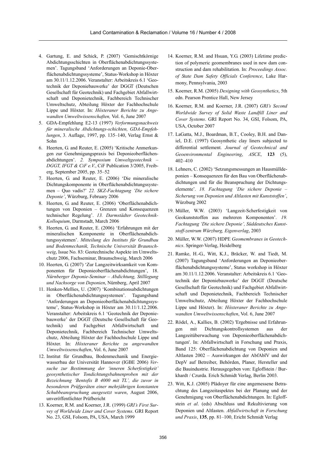- 4. Gartung, E. and Schick, P. (2007) 'Gemischtkörnige Abdichtungsschichten in Oberflächenabdichtungssystemen'. Tagungsband 'Anforderungen an Deponie-Oberflächenabdichtungssysteme', Status-Workshop in Höxter am 30.11/1.12.2006. Veranstalter: Arbeitskreis 6.1 'Geotechnik der Deponiebauwerke' der DGGT (Deutschen Gesellschaft für Geotechnik) und Fachgebiet Abfallwirtschaft und Deponietechnik, Fachbereich Technischer Umweltschutz, Abteilung Höxter der Fachhochschule Lippe und Höxter. In: *Höxteraner Berichte zu Angewandten Umweltwissenschaften,* Vol. 6, June 2007
- 5. GDA-Empfehlung E2-13 (1997) *Verformungsnachweis für mineralische Abdichtungs-schichten, GDA-Empfehlungen*, 3. Auflage, 1997, pp. 135–140, Verlag Ernst & Sohn
- 6. Heerten, G. and Reuter, E. (2005) 'Kritische Anmerkungen zur Genehmigungspraxis bei Deponieoberflächenabdichtungen'. *2. Symposium Umweltgeotechnik – DGGT, IFGT & CiF e.V.*, CiF Publication 3/2005, Freiberg, September 2005, pp. 35–52
- 7. Heerten, G. and Reuter, E. (2006) 'Die mineralische Dichtungskomponente in Oberflächenabdichtungssystemen – Quo vadis?' *22. SKZ-Fachtagung 'Die sichere Deponie'*, Würzburg, February 2006
- 8. Heerten, G. and Reuter, E. (2006) 'Oberflächenabdichtungen von Deponien – Grenzen und Konsequenzen technischer Regelung'. *13. Darmstädter Geotechnik-Kolloquium*, Darmstadt, March 2006
- 9. Heerten, G. and Reuter, E. (2006) 'Erfahrungen mit der mineralischen Komponente in Oberflächenabdichtungssystemen'. *Mitteilung des Instituts für Grundbau und Bodenmechanik, Technische Universität Braunschweig*, Issue No. 83: Geotechnische Aspekte im Umweltschutz 2006, Fachseminar, Braunschweig, March 2006
- 10. Heerten, G. (2007) 'Zur Langzeitwirksamkeit von Komponenten für Deponieoberflächenabdichtungen', 18. *Nürnberger Deponie-Seminar – Abdichtung, Stilllegung und Nachsorge von Deponien*, Nürnberg, April 2007
- 11. Henken-Mellies, U. (2007) 'Kombinationsabdichtungen in Oberflächenabdichtungssystemen'. Tagungsband 'Anforderungen an Deponieoberflächenabdichtungssysteme', Status-Workshop in Höxter am 30.11/1.12.2006. Veranstalter: Arbeitskreis 6.1 'Geotechnik der Deponiebauwerke' der DGGT (Deutsche Gesellschaft für Geotechnik) und Fachgebiet Abfallwirtschaft und Deponietechnik, Fachbereich Technischer Umweltschutz, Abteilung Höxter der Fachhochschule Lippe und Höxter. In: *Höxteraner Berichte zu angewandten Umweltwissenschaften*, Vol. 6, June 2007
- 12. Institut für Grundbau, Bodenmechanik und Energiewasserbau der Universität Hannover (IGBE 2006) *Versuche zur Bestimmung der 'inneren Scherfestigkeit' geosynthetischer Tondichtungsbahnenproben mit der Bezeichnung 'Bentofix B 4000 mit TL', die zuvor in besonderen Prüfgeräten einer mehrjährigen konstanten Schubbeanspruchung ausgesetzt waren*, August 2006, unveröffentlichter Prüfbericht
- 13. Koerner, R.M. and Koerner, J.R. (1999) *GRI's First Survey of Worldwide Liner and Cover Systems*. GRI Report No. 23, GSI, Folsom, PA, USA, March 1999
- 14. Koerner, R.M. and Hsuan, Y.G. (2003) Lifetime prediction of polymeric geomembranes used in new dam construction and dam rehabilitation. In: *Proceedings Assoc. of State Dam Safety Officials Conference*, Lake Harmony, Pennsylvania, 2003
- 15. Koerner, R.M. (2005) *Designing with Geosynthetics*, 5th edn. Pearson Prentice Hall, New Jersey
- 16. Koerner, R.M. and Koerner, J.R. (2007) *GRI's Second Worldwide Survey of Solid Waste Landfill Liner and Cover Systems*. GRI Report No. 34, GSI, Folsom, PA, USA, October 2007
- 17. LaGatta, M.J., Boardman, B.T., Cooley, B.H. and Daniel, D.E. (1997) Geosynthetic clay liners subjected to differential settlement. *Journal of Geotechnical and Geoenvironmental Engineering*, *ASCE*, **123** (5), 402–410
- 18. Lehners, C. (2002) 'Setzungsmessungen an Hausmülldeponien – Konsequenzen für den Bau von Oberflächenabdichtungen und für die Beanspruchung der Dichtungselemente'. *18. Fachtagung 'Die sichere Deponie – Sicherung von Deponien und Altlasten mit Kunststoffen'*, Würzburg 2002
- 19. Müller, W.W. (2003) 'Langzeit-Scherfestigkeit von Geokunststoffen aus mehreren Komponenten'. *19. Fachtagung 'Die sichere Deponie', Süddeutsches Kunststoff-zentrum Würzburg, Eigenverlag*, 2003
- 20. Müller, W.W. (2007) HDPE *Geomembranes in Geotechnics*. Springer-Verlag, Heidelberg
- 21. Ramke, H.-G., Witt, K.J., Bräcker, W. and Tiedt, M. (2007) Tagungsband 'Anforderungen an Deponieoberflächenabdichtungssysteme', Status workshop in Höxter am 30.11/1.12.2006. Veranstalter: Arbeitskreis 6.1 'Geotechnik der Deponiebauwerke' der DGGT (Deutsche Gesellschaft für Geotechnik) und Fachgebiet Abfallwirtschaft und Deponietechnik, Fachbereich Technischer Umweltschutz, Abteilung Höxter der Fachhochschule Lippe und Höxter). In: *Höxteraner Berichte zu Angewandten Umweltwissenschaften*, Vol. 6, June 2007
- 22. Rödel, A., Kallies, B. (2002) 'Ergebnisse und Erfahrungen mit Dichtungskontrollsystemen aus der Langzeitüberwachung von Deponieoberflächenabdichtungen'. In: Abfallwirtschaft in Forschung und Praxis, Band 125: Oberflächenabdichtung von Deponien und Altlasten 2002 – Auswirkungen der AbfAblV und der DepV auf Betreiber, Behörden, Planer, Hersteller und die Bauindustrie. Herausgegeben von: Egloffstein / Burkhardt / Czurda. Erich Schmidt Verlag, Berlin 2003.
- 23. Witt, K.J. (2005) Plädoyer für eine angemessene Betrachtung des Langzeitaspektes bei der Planung und der Genehmigung von Oberflächenabdichtungen. In: Egloffstein *et al*. (eds) Abschluss und Rekultivierung von Deponien und Altlasten. *Abfallwirtschaft in Forschung und Praxis*, **135**, pp. 81–100, Ericht Schmidt Verlag